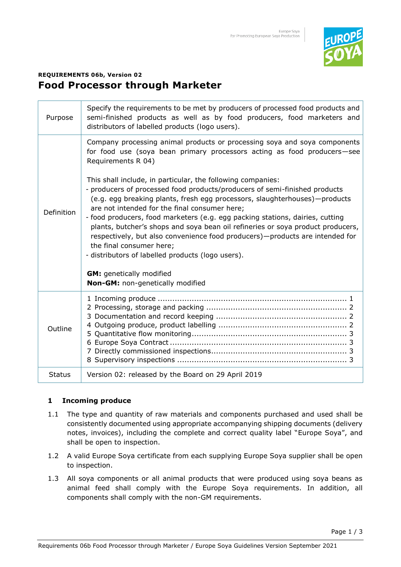

# **REQUIREMENTS 06b, Version 02 Food Processor through Marketer**

| Purpose       | Specify the requirements to be met by producers of processed food products and<br>semi-finished products as well as by food producers, food marketers and<br>distributors of labelled products (logo users).                                                                                                                                                                                                                                                                                                                                                                                                                                                                                                                                                                                                                                                       |
|---------------|--------------------------------------------------------------------------------------------------------------------------------------------------------------------------------------------------------------------------------------------------------------------------------------------------------------------------------------------------------------------------------------------------------------------------------------------------------------------------------------------------------------------------------------------------------------------------------------------------------------------------------------------------------------------------------------------------------------------------------------------------------------------------------------------------------------------------------------------------------------------|
| Definition    | Company processing animal products or processing soya and soya components<br>for food use (soya bean primary processors acting as food producers-see<br>Requirements R 04)<br>This shall include, in particular, the following companies:<br>- producers of processed food products/producers of semi-finished products<br>(e.g. egg breaking plants, fresh egg processors, slaughterhouses)—products<br>are not intended for the final consumer here;<br>- food producers, food marketers (e.g. egg packing stations, dairies, cutting<br>plants, butcher's shops and soya bean oil refineries or soya product producers,<br>respectively, but also convenience food producers)-products are intended for<br>the final consumer here;<br>- distributors of labelled products (logo users).<br><b>GM:</b> genetically modified<br>Non-GM: non-genetically modified |
| Outline       |                                                                                                                                                                                                                                                                                                                                                                                                                                                                                                                                                                                                                                                                                                                                                                                                                                                                    |
| <b>Status</b> | Version 02: released by the Board on 29 April 2019                                                                                                                                                                                                                                                                                                                                                                                                                                                                                                                                                                                                                                                                                                                                                                                                                 |

# **1 Incoming produce**

- 1.1 The type and quantity of raw materials and components purchased and used shall be consistently documented using appropriate accompanying shipping documents (delivery notes, invoices), including the complete and correct quality label "Europe Soya", and shall be open to inspection.
- 1.2 A valid Europe Soya certificate from each supplying Europe Soya supplier shall be open to inspection.
- 1.3 All soya components or all animal products that were produced using soya beans as animal feed shall comply with the Europe Soya requirements. In addition, all components shall comply with the non-GM requirements.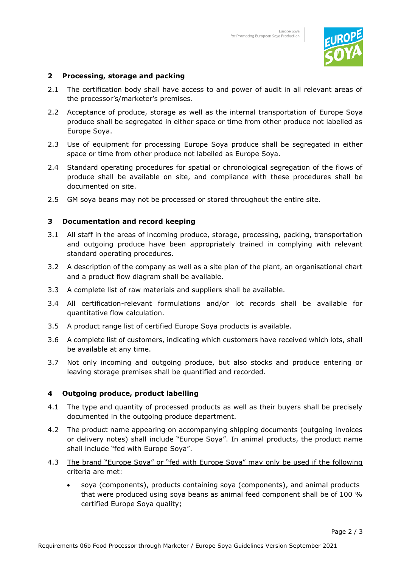

### **2 Processing, storage and packing**

- 2.1 The certification body shall have access to and power of audit in all relevant areas of the processor's/marketer's premises.
- 2.2 Acceptance of produce, storage as well as the internal transportation of Europe Soya produce shall be segregated in either space or time from other produce not labelled as Europe Soya.
- 2.3 Use of equipment for processing Europe Soya produce shall be segregated in either space or time from other produce not labelled as Europe Soya.
- 2.4 Standard operating procedures for spatial or chronological segregation of the flows of produce shall be available on site, and compliance with these procedures shall be documented on site.
- 2.5 GM soya beans may not be processed or stored throughout the entire site.

#### **3 Documentation and record keeping**

- 3.1 All staff in the areas of incoming produce, storage, processing, packing, transportation and outgoing produce have been appropriately trained in complying with relevant standard operating procedures.
- 3.2 A description of the company as well as a site plan of the plant, an organisational chart and a product flow diagram shall be available.
- 3.3 A complete list of raw materials and suppliers shall be available.
- 3.4 All certification-relevant formulations and/or lot records shall be available for quantitative flow calculation.
- 3.5 A product range list of certified Europe Soya products is available.
- 3.6 A complete list of customers, indicating which customers have received which lots, shall be available at any time.
- 3.7 Not only incoming and outgoing produce, but also stocks and produce entering or leaving storage premises shall be quantified and recorded.

#### **4 Outgoing produce, product labelling**

- 4.1 The type and quantity of processed products as well as their buyers shall be precisely documented in the outgoing produce department.
- 4.2 The product name appearing on accompanying shipping documents (outgoing invoices or delivery notes) shall include "Europe Soya". In animal products, the product name shall include "fed with Europe Soya".
- 4.3 The brand "Europe Soya" or "fed with Europe Soya" may only be used if the following criteria are met:
	- soya (components), products containing soya (components), and animal products that were produced using soya beans as animal feed component shall be of 100 % certified Europe Soya quality;